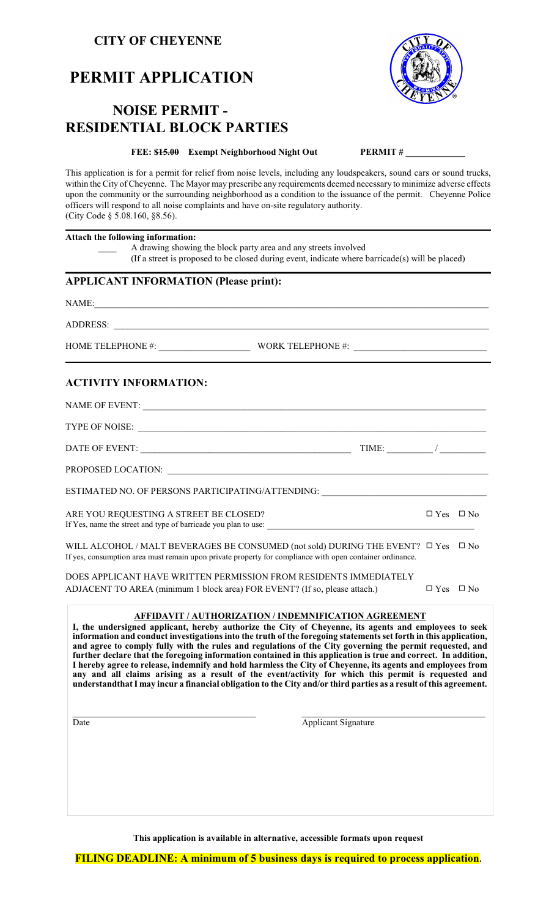## **CITY OF CHEYENNE**

# **PERMIT APPLICATION**

## **NOISE PERMIT - RESIDENTIAL BLOCK PARTIES**

#### **FEE:**  $\frac{$15.00}{$15.00}$  Exempt Neighborhood Night Out **PERMIT #**

This application is for a permit for relief from noise levels, including any loudspeakers, sound cars or sound trucks, within the City of Cheyenne. The Mayor may prescribe any requirements deemed necessary to minimize adverse effects upon the community or the surrounding neighborhood as a condition to the issuance of the permit. Cheyenne Police officers will respond to all noise complaints and have on-site regulatory authority. (City Code § 5.08.160, §8.56).

| Attach the following information:            | A drawing showing the block party area and any streets involved<br>(If a street is proposed to be closed during event, indicate where barricade(s) will be placed)                                                                                                                                                                                                                                                                                                                                                                                                                                                                                                                                                                                                                                                                                                                              |                      |  |
|----------------------------------------------|-------------------------------------------------------------------------------------------------------------------------------------------------------------------------------------------------------------------------------------------------------------------------------------------------------------------------------------------------------------------------------------------------------------------------------------------------------------------------------------------------------------------------------------------------------------------------------------------------------------------------------------------------------------------------------------------------------------------------------------------------------------------------------------------------------------------------------------------------------------------------------------------------|----------------------|--|
| <b>APPLICANT INFORMATION (Please print):</b> |                                                                                                                                                                                                                                                                                                                                                                                                                                                                                                                                                                                                                                                                                                                                                                                                                                                                                                 |                      |  |
|                                              |                                                                                                                                                                                                                                                                                                                                                                                                                                                                                                                                                                                                                                                                                                                                                                                                                                                                                                 |                      |  |
|                                              |                                                                                                                                                                                                                                                                                                                                                                                                                                                                                                                                                                                                                                                                                                                                                                                                                                                                                                 |                      |  |
|                                              |                                                                                                                                                                                                                                                                                                                                                                                                                                                                                                                                                                                                                                                                                                                                                                                                                                                                                                 |                      |  |
| <b>ACTIVITY INFORMATION:</b>                 |                                                                                                                                                                                                                                                                                                                                                                                                                                                                                                                                                                                                                                                                                                                                                                                                                                                                                                 |                      |  |
|                                              |                                                                                                                                                                                                                                                                                                                                                                                                                                                                                                                                                                                                                                                                                                                                                                                                                                                                                                 |                      |  |
|                                              |                                                                                                                                                                                                                                                                                                                                                                                                                                                                                                                                                                                                                                                                                                                                                                                                                                                                                                 |                      |  |
|                                              | DATE OF EVENT: $\frac{1}{2}$ TIME: $\frac{1}{2}$ TIME: $\frac{1}{2}$                                                                                                                                                                                                                                                                                                                                                                                                                                                                                                                                                                                                                                                                                                                                                                                                                            |                      |  |
|                                              |                                                                                                                                                                                                                                                                                                                                                                                                                                                                                                                                                                                                                                                                                                                                                                                                                                                                                                 |                      |  |
|                                              | ESTIMATED NO. OF PERSONS PARTICIPATING/ATTENDING: ______________________________                                                                                                                                                                                                                                                                                                                                                                                                                                                                                                                                                                                                                                                                                                                                                                                                                |                      |  |
| ARE YOU REQUESTING A STREET BE CLOSED?       | If Yes, name the street and type of barricade you plan to use:                                                                                                                                                                                                                                                                                                                                                                                                                                                                                                                                                                                                                                                                                                                                                                                                                                  | $\Box$ Yes $\Box$ No |  |
|                                              | WILL ALCOHOL / MALT BEVERAGES BE CONSUMED (not sold) DURING THE EVENT? $\Box$ Yes $\Box$ No<br>If yes, consumption area must remain upon private property for compliance with open container ordinance.                                                                                                                                                                                                                                                                                                                                                                                                                                                                                                                                                                                                                                                                                         |                      |  |
|                                              | DOES APPLICANT HAVE WRITTEN PERMISSION FROM RESIDENTS IMMEDIATELY                                                                                                                                                                                                                                                                                                                                                                                                                                                                                                                                                                                                                                                                                                                                                                                                                               |                      |  |
|                                              | ADJACENT TO AREA (minimum 1 block area) FOR EVENT? (If so, please attach.)                                                                                                                                                                                                                                                                                                                                                                                                                                                                                                                                                                                                                                                                                                                                                                                                                      | $\Box$ Yes $\Box$ No |  |
| Date                                         | <b>AFFIDAVIT / AUTHORIZATION / INDEMNIFICATION AGREEMENT</b><br>I, the undersigned applicant, hereby authorize the City of Cheyenne, its agents and employees to seek<br>information and conduct investigations into the truth of the foregoing statements set forth in this application,<br>and agree to comply fully with the rules and regulations of the City governing the permit requested, and<br>further declare that the foregoing information contained in this application is true and correct. In addition,<br>I hereby agree to release, indemnify and hold harmless the City of Cheyenne, its agents and employees from<br>any and all claims arising as a result of the event/activity for which this permit is requested and<br>understandthat I may incur a financial obligation to the City and/or third parties as a result of this agreement.<br><b>Applicant Signature</b> |                      |  |
|                                              |                                                                                                                                                                                                                                                                                                                                                                                                                                                                                                                                                                                                                                                                                                                                                                                                                                                                                                 |                      |  |

**This application is available in alternative, accessible formats upon request**

**FILING DEADLINE: A minimum of 5 business days is required to process application.**

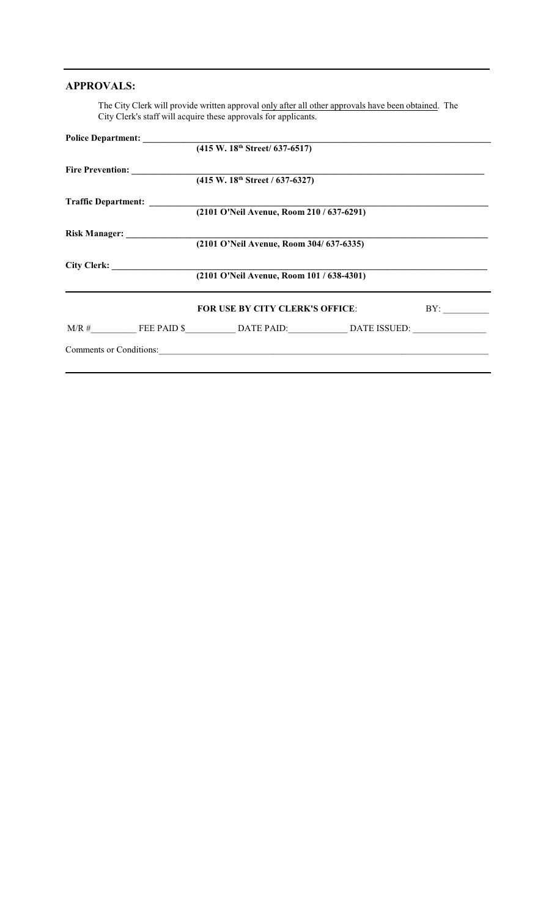### **APPROVALS:**

The City Clerk will provide written approval only after all other approvals have been obtained. The City Clerk's staff will acquire these approvals for applicants.

|  | (415 W. 18 <sup>th</sup> Street/ 637-6517)                                             |     |
|--|----------------------------------------------------------------------------------------|-----|
|  |                                                                                        |     |
|  | (415 W. 18 <sup>th</sup> Street / 637-6327)                                            |     |
|  |                                                                                        |     |
|  | Traffic Department: $(2101 \text{ O}'\text{Neil Avenue}, \text{Room } 210 / 637-6291)$ |     |
|  |                                                                                        |     |
|  | Risk Manager: 2101 O'Neil Avenue, Room 304/637-6335)                                   |     |
|  |                                                                                        |     |
|  | (2101 O'Neil Avenue, Room 101 / 638-4301)                                              |     |
|  | <b>FOR USE BY CITY CLERK'S OFFICE:</b>                                                 | BY: |
|  |                                                                                        |     |
|  | Comments or Conditions:                                                                |     |
|  |                                                                                        |     |
|  |                                                                                        |     |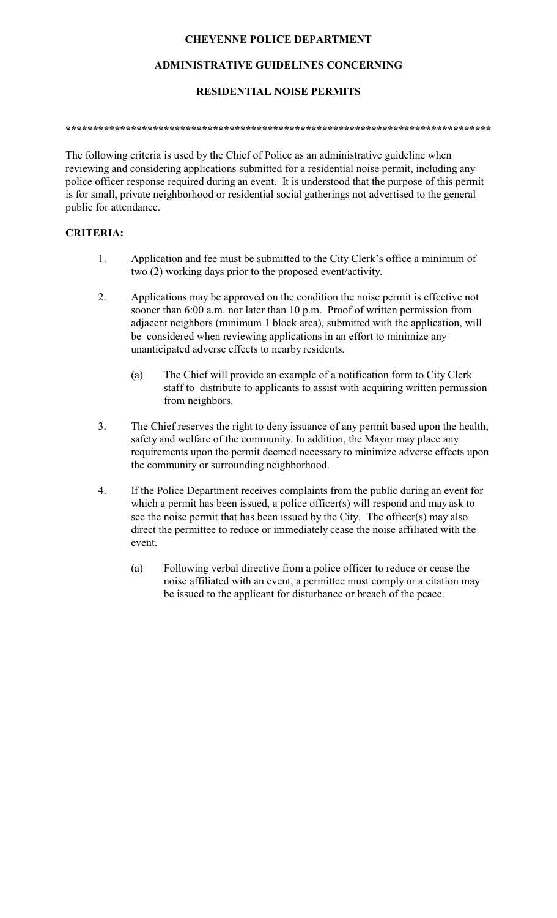## **CHEYENNE POLICE DEPARTMENT**

## **ADMINISTRATIVE GUIDELINES CONCERNING**

## **RESIDENTIAL NOISE PERMITS**

#### **\*\*\*\*\*\*\*\*\*\*\*\*\*\*\*\*\*\*\*\*\*\*\*\*\*\*\*\*\*\*\*\*\*\*\*\*\*\*\*\*\*\*\*\*\*\*\*\*\*\*\*\*\*\*\*\*\*\*\*\*\*\*\*\*\*\*\*\*\*\*\*\*\*\*\*\*\*\***

The following criteria is used by the Chief of Police as an administrative guideline when reviewing and considering applications submitted for a residential noise permit, including any police officer response required during an event. It is understood that the purpose of this permit is for small, private neighborhood or residential social gatherings not advertised to the general public for attendance.

## **CRITERIA:**

- 1. Application and fee must be submitted to the City Clerk's office a minimum of two (2) working days prior to the proposed event/activity.
- 2. Applications may be approved on the condition the noise permit is effective not sooner than 6:00 a.m. nor later than 10 p.m. Proof of written permission from adjacent neighbors (minimum 1 block area), submitted with the application, will be considered when reviewing applications in an effort to minimize any unanticipated adverse effects to nearby residents.
	- (a) The Chief will provide an example of a notification form to City Clerk staff to distribute to applicants to assist with acquiring written permission from neighbors.
- 3. The Chief reserves the right to deny issuance of any permit based upon the health, safety and welfare of the community. In addition, the Mayor may place any requirements upon the permit deemed necessary to minimize adverse effects upon the community or surrounding neighborhood.
- 4. If the Police Department receives complaints from the public during an event for which a permit has been issued, a police officer(s) will respond and may ask to see the noise permit that has been issued by the City. The officer(s) may also direct the permittee to reduce or immediately cease the noise affiliated with the event.
	- (a) Following verbal directive from a police officer to reduce or cease the noise affiliated with an event, a permittee must comply or a citation may be issued to the applicant for disturbance or breach of the peace.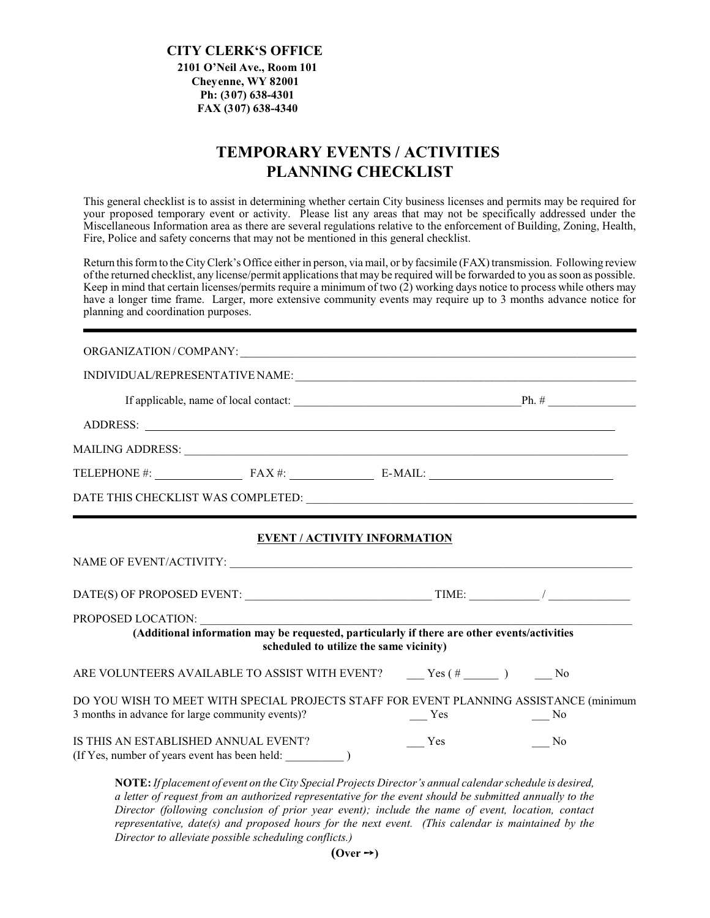#### **CITY CLERK'S OFFICE 2101 O'Neil Ave., Room 101 Cheyenne, WY 82001 Ph: (307) 638-4301 FAX (307) 638-4340**

## **TEMPORARY EVENTS / ACTIVITIES PLANNING CHECKLIST**

This general checklist is to assist in determining whether certain City business licenses and permits may be required for your proposed temporary event or activity. Please list any areas that may not be specifically addressed under the Miscellaneous Information area as there are several regulations relative to the enforcement of Building, Zoning, Health, Fire, Police and safety concerns that may not be mentioned in this general checklist.

Return this formto the CityClerk's Office either in person, via mail, or by facsimile (FAX) transmission. Following review ofthe returned checklist, any license/permit applications that may be required will be forwarded to you as soon as possible. Keep in mind that certain licenses/permits require a minimum of two  $(2)$  working days notice to process while others may have a longer time frame. Larger, more extensive community events may require up to 3 months advance notice for planning and coordination purposes.

#### ORGANIZATION/COMPANY:

|                                                  | TELEPHONE #: $\qquad \qquad$ FAX #: $\qquad \qquad$ E-MAIL:                                                                            |        |     |
|--------------------------------------------------|----------------------------------------------------------------------------------------------------------------------------------------|--------|-----|
|                                                  |                                                                                                                                        |        |     |
|                                                  | <b>EVENT / ACTIVITY INFORMATION</b>                                                                                                    |        |     |
|                                                  |                                                                                                                                        |        |     |
|                                                  |                                                                                                                                        |        |     |
|                                                  | (Additional information may be requested, particularly if there are other events/activities<br>scheduled to utilize the same vicinity) |        |     |
|                                                  | ARE VOLUNTEERS AVAILABLE TO ASSIST WITH EVENT? _____ Yes (# _____ ) _____ No                                                           |        |     |
| 3 months in advance for large community events)? | DO YOU WISH TO MEET WITH SPECIAL PROJECTS STAFF FOR EVENT PLANNING ASSISTANCE (minimum                                                 | $Y$ es | No. |
| IS THIS AN ESTABLISHED ANNUAL EVENT?             |                                                                                                                                        | Yes    | No. |
|                                                  | NOTE: If placement of grent on the City Special Droigate Divector's annual calculate schedule is desired                               |        |     |

**NOTE:***If placement of event on the City Special Projects Director's annual calendar schedule is desired, a letter of request from an authorized representative for the event should be submitted annually to the Director (following conclusion of prior year event); include the name of event, location, contact representative, date(s) and proposed hours for the next event. (This calendar is maintained by the Director to alleviate possible scheduling conflicts.)*

 $(Over \rightarrow)$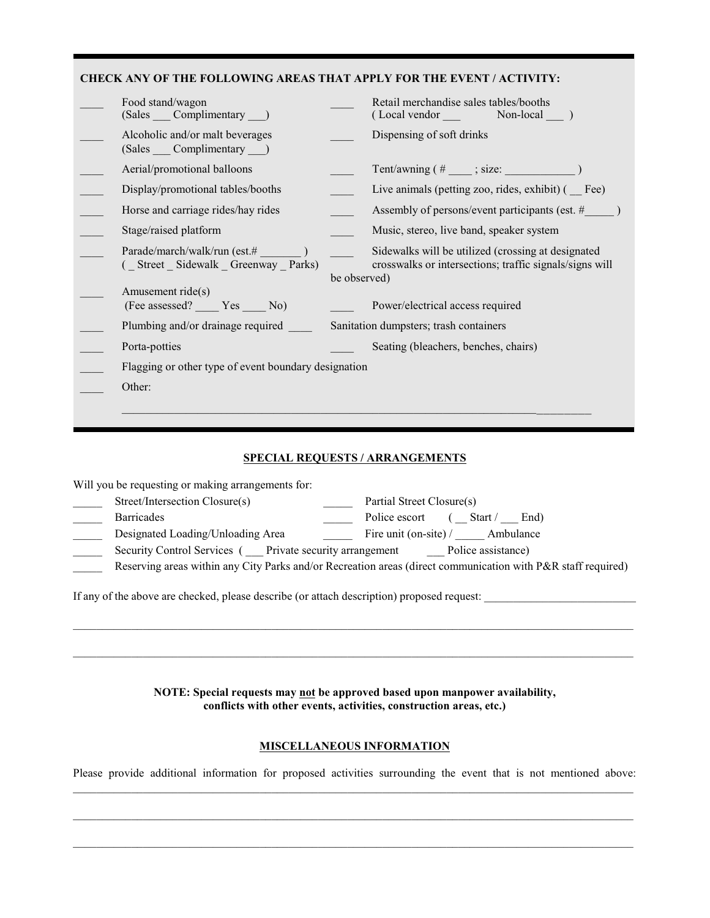#### **CHECK ANY OF THE FOLLOWING AREAS THAT APPLY FOR THE EVENT / ACTIVITY:**

| Food stand/wagon<br>(Sales Complimentary )                       |              | Retail merchandise sales tables/booths                                                                        |
|------------------------------------------------------------------|--------------|---------------------------------------------------------------------------------------------------------------|
| Alcoholic and/or malt beverages<br>(Sales Complimentary )        |              | Dispensing of soft drinks                                                                                     |
| Aerial/promotional balloons                                      |              | Tent/awning $(\#$ ____; size:                                                                                 |
| Display/promotional tables/booths                                |              | Live animals (petting zoo, rides, exhibit) (Fee)                                                              |
| Horse and carriage rides/hay rides                               |              | Assembly of persons/event participants (est. #                                                                |
| Stage/raised platform                                            |              | Music, stereo, live band, speaker system                                                                      |
| Parade/march/walk/run (est.#<br>(Street Sidewalk Greenway Parks) |              | Sidewalks will be utilized (crossing at designated<br>crosswalks or intersections; traffic signals/signs will |
|                                                                  | be observed) |                                                                                                               |
| Amusement ride(s)<br>(Fee assessed? ______ Yes ______ No)        |              | Power/electrical access required                                                                              |
| Plumbing and/or drainage required                                |              | Sanitation dumpsters; trash containers                                                                        |
| Porta-potties                                                    |              | Seating (bleachers, benches, chairs)                                                                          |
| Flagging or other type of event boundary designation             |              |                                                                                                               |
| Other:                                                           |              |                                                                                                               |
|                                                                  |              |                                                                                                               |
|                                                                  |              |                                                                                                               |

#### **SPECIAL REQUESTS / ARRANGEMENTS**

Will you be requesting or making arrangements for:

| Street/Intersection Closure(s)                           | Partial Street Closure(s)                                                                                    |
|----------------------------------------------------------|--------------------------------------------------------------------------------------------------------------|
| <b>Barricades</b>                                        | Police escort<br>Start /<br>End)                                                                             |
| Designated Loading/Unloading Area                        | Fire unit (on-site) / Ambulance                                                                              |
| Security Control Services ( Private security arrangement | Police assistance)                                                                                           |
|                                                          | Reserving areas within any City Parks and/or Recreation areas (direct communication with P&R staff required) |
|                                                          |                                                                                                              |

If any of the above are checked, please describe (or attach description) proposed request: \_\_\_\_\_\_\_\_\_\_\_\_\_\_\_\_\_\_\_\_\_\_\_\_\_\_

**NOTE: Special requests may not be approved based upon manpower availability, conflicts with other events, activities, construction areas, etc.)**

 $\mathcal{L}_\mathcal{L} = \{ \mathcal{L}_\mathcal{L} = \{ \mathcal{L}_\mathcal{L} = \{ \mathcal{L}_\mathcal{L} = \{ \mathcal{L}_\mathcal{L} = \{ \mathcal{L}_\mathcal{L} = \{ \mathcal{L}_\mathcal{L} = \{ \mathcal{L}_\mathcal{L} = \{ \mathcal{L}_\mathcal{L} = \{ \mathcal{L}_\mathcal{L} = \{ \mathcal{L}_\mathcal{L} = \{ \mathcal{L}_\mathcal{L} = \{ \mathcal{L}_\mathcal{L} = \{ \mathcal{L}_\mathcal{L} = \{ \mathcal{L}_\mathcal{$ 

 $\mathcal{L}_\mathcal{L} = \{ \mathcal{L}_\mathcal{L} = \{ \mathcal{L}_\mathcal{L} = \{ \mathcal{L}_\mathcal{L} = \{ \mathcal{L}_\mathcal{L} = \{ \mathcal{L}_\mathcal{L} = \{ \mathcal{L}_\mathcal{L} = \{ \mathcal{L}_\mathcal{L} = \{ \mathcal{L}_\mathcal{L} = \{ \mathcal{L}_\mathcal{L} = \{ \mathcal{L}_\mathcal{L} = \{ \mathcal{L}_\mathcal{L} = \{ \mathcal{L}_\mathcal{L} = \{ \mathcal{L}_\mathcal{L} = \{ \mathcal{L}_\mathcal{$ 

#### **MISCELLANEOUS INFORMATION**

Please provide additional information for proposed activities surrounding the event that is not mentioned above:  $\mathcal{L}_\mathcal{L} = \{ \mathcal{L}_\mathcal{L} = \{ \mathcal{L}_\mathcal{L} = \{ \mathcal{L}_\mathcal{L} = \{ \mathcal{L}_\mathcal{L} = \{ \mathcal{L}_\mathcal{L} = \{ \mathcal{L}_\mathcal{L} = \{ \mathcal{L}_\mathcal{L} = \{ \mathcal{L}_\mathcal{L} = \{ \mathcal{L}_\mathcal{L} = \{ \mathcal{L}_\mathcal{L} = \{ \mathcal{L}_\mathcal{L} = \{ \mathcal{L}_\mathcal{L} = \{ \mathcal{L}_\mathcal{L} = \{ \mathcal{L}_\mathcal{$ 

 $\mathcal{L}_\mathcal{L} = \{ \mathcal{L}_\mathcal{L} = \{ \mathcal{L}_\mathcal{L} = \{ \mathcal{L}_\mathcal{L} = \{ \mathcal{L}_\mathcal{L} = \{ \mathcal{L}_\mathcal{L} = \{ \mathcal{L}_\mathcal{L} = \{ \mathcal{L}_\mathcal{L} = \{ \mathcal{L}_\mathcal{L} = \{ \mathcal{L}_\mathcal{L} = \{ \mathcal{L}_\mathcal{L} = \{ \mathcal{L}_\mathcal{L} = \{ \mathcal{L}_\mathcal{L} = \{ \mathcal{L}_\mathcal{L} = \{ \mathcal{L}_\mathcal{$ 

 $\mathcal{L}_\mathcal{L} = \{ \mathcal{L}_\mathcal{L} = \{ \mathcal{L}_\mathcal{L} = \{ \mathcal{L}_\mathcal{L} = \{ \mathcal{L}_\mathcal{L} = \{ \mathcal{L}_\mathcal{L} = \{ \mathcal{L}_\mathcal{L} = \{ \mathcal{L}_\mathcal{L} = \{ \mathcal{L}_\mathcal{L} = \{ \mathcal{L}_\mathcal{L} = \{ \mathcal{L}_\mathcal{L} = \{ \mathcal{L}_\mathcal{L} = \{ \mathcal{L}_\mathcal{L} = \{ \mathcal{L}_\mathcal{L} = \{ \mathcal{L}_\mathcal{$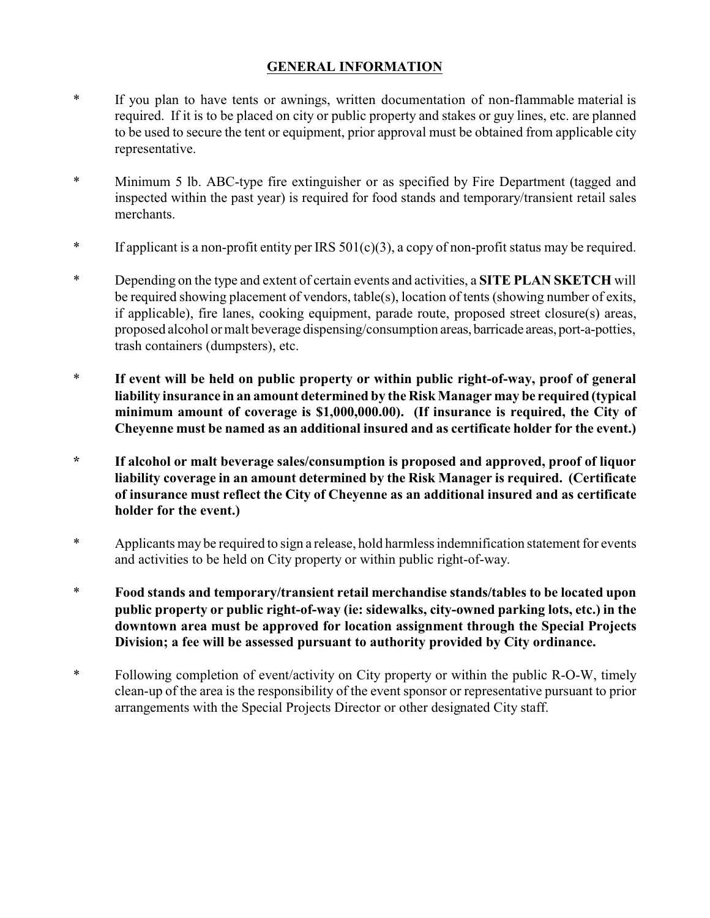## **GENERAL INFORMATION**

- \* If you plan to have tents or awnings, written documentation of non-flammable material is required. If it is to be placed on city or public property and stakes or guy lines, etc. are planned to be used to secure the tent or equipment, prior approval must be obtained from applicable city representative.
- \* Minimum 5 lb. ABC-type fire extinguisher or as specified by Fire Department (tagged and inspected within the past year) is required for food stands and temporary/transient retail sales merchants.
- \* If applicant is a non-profit entity per IRS 501(c)(3), a copy of non-profit status may be required.
- \* Depending on the type and extent of certain events and activities, a **SITE PLAN SKETCH** will be required showing placement of vendors, table(s), location of tents (showing number of exits, if applicable), fire lanes, cooking equipment, parade route, proposed street closure(s) areas, proposed alcohol or malt beverage dispensing/consumption areas, barricade areas, port-a-potties, trash containers (dumpsters), etc.
- \* **If event will be held on public property or within public right-of-way, proof of general liability insurance in an amount determined by the Risk Manager may be required (typical minimum amount of coverage is \$1,000,000.00). (If insurance is required, the City of Cheyenne must be named as an additional insured and as certificate holder for the event.)**
- **\* If alcohol or malt beverage sales/consumption is proposed and approved, proof of liquor liability coverage in an amount determined by the Risk Manager is required. (Certificate of insurance must reflect the City of Cheyenne as an additional insured and as certificate holder for the event.)**
- \* Applicants may be required to sign a release, hold harmless indemnification statement for events and activities to be held on City property or within public right-of-way.
- \* **Food stands and temporary/transient retail merchandise stands/tables to be located upon public property or public right-of-way (ie: sidewalks, city-owned parking lots, etc.) in the downtown area must be approved for location assignment through the Special Projects Division; a fee will be assessed pursuant to authority provided by City ordinance.**
- \* Following completion of event/activity on City property or within the public R-O-W, timely clean-up of the area is the responsibility of the event sponsor or representative pursuant to prior arrangements with the Special Projects Director or other designated City staff.